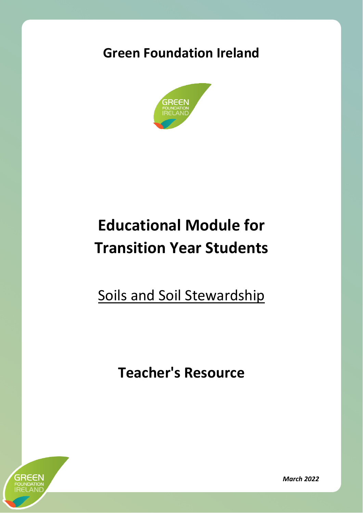# **Green Foundation Ireland**



# **Educational Module for Transition Year Students**

Soils and Soil Stewardship

**Teacher's Resource**



*March 2022*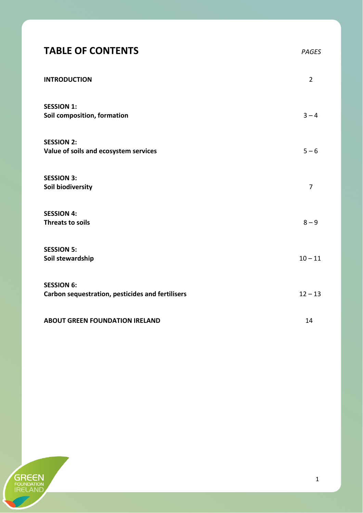# **TABLE OF CONTENTS** *PAGES*

| <b>INTRODUCTION</b>                              | $\overline{2}$ |
|--------------------------------------------------|----------------|
| <b>SESSION 1:</b>                                |                |
| Soil composition, formation                      | $3 - 4$        |
| <b>SESSION 2:</b>                                |                |
| Value of soils and ecosystem services            | $5 - 6$        |
| <b>SESSION 3:</b>                                |                |
| Soil biodiversity                                | $\overline{7}$ |
| <b>SESSION 4:</b>                                |                |
| <b>Threats to soils</b>                          | $8 - 9$        |
| <b>SESSION 5:</b><br>Soil stewardship            | $10 - 11$      |
|                                                  |                |
| <b>SESSION 6:</b>                                | $12 - 13$      |
| Carbon sequestration, pesticides and fertilisers |                |
| <b>ABOUT GREEN FOUNDATION IRELAND</b>            | 14             |
|                                                  |                |

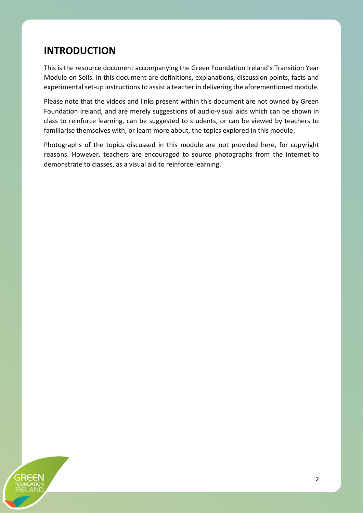#### **INTRODUCTION**

This is the resource document accompanying the Green Foundation Ireland's Transition Year Module on Soils. In this document are definitions, explanations, discussion points, facts and experimental set-up instructions to assist a teacher in delivering the aforementioned module.

Please note that the videos and links present within this document are not owned by Green Foundation Ireland, and are merely suggestions of audio-visual aids which can be shown in class to reinforce learning, can be suggested to students, or can be viewed by teachers to familiarise themselves with, or learn more about, the topics explored in this module.

Photographs of the topics discussed in this module are not provided here, for copyright reasons. However, teachers are encouraged to source photographs from the internet to demonstrate to classes, as a visual aid to reinforce learning.

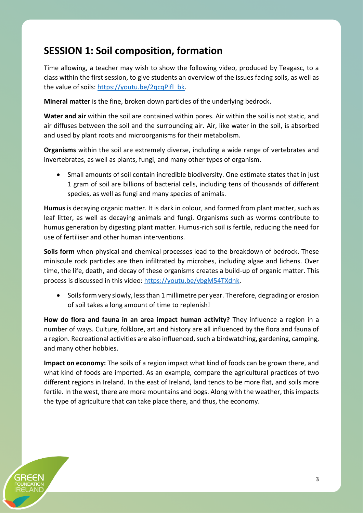### **SESSION 1: Soil composition, formation**

Time allowing, a teacher may wish to show the following video, produced by Teagasc, to a class within the first session, to give students an overview of the issues facing soils, as well as the value of soils: [https://youtu.be/2qcqPifl\\_bk.](https://youtu.be/2qcqPifl_bk)

**Mineral matter** is the fine, broken down particles of the underlying bedrock.

**Water and air** within the soil are contained within pores. Air within the soil is not static, and air diffuses between the soil and the surrounding air. Air, like water in the soil, is absorbed and used by plant roots and microorganisms for their metabolism.

**Organisms** within the soil are extremely diverse, including a wide range of vertebrates and invertebrates, as well as plants, fungi, and many other types of organism.

• Small amounts of soil contain incredible biodiversity. One estimate states that in just 1 gram of soil are billions of bacterial cells, including tens of thousands of different species, as well as fungi and many species of animals.

**Humus** is decaying organic matter. It is dark in colour, and formed from plant matter, such as leaf litter, as well as decaying animals and fungi. Organisms such as worms contribute to humus generation by digesting plant matter. Humus-rich soil is fertile, reducing the need for use of fertiliser and other human interventions.

**Soils form** when physical and chemical processes lead to the breakdown of bedrock. These miniscule rock particles are then infiltrated by microbes, including algae and lichens. Over time, the life, death, and decay of these organisms creates a build-up of organic matter. This process is discussed in this video[: https://youtu.be/vbgM54TXdnk.](https://youtu.be/vbgM54TXdnk)

• Soils form very slowly, less than 1 millimetre per year. Therefore, degrading or erosion of soil takes a long amount of time to replenish!

**How do flora and fauna in an area impact human activity?** They influence a region in a number of ways. Culture, folklore, art and history are all influenced by the flora and fauna of a region. Recreational activities are also influenced, such a birdwatching, gardening, camping, and many other hobbies.

**Impact on economy:** The soils of a region impact what kind of foods can be grown there, and what kind of foods are imported. As an example, compare the agricultural practices of two different regions in Ireland. In the east of Ireland, land tends to be more flat, and soils more fertile. In the west, there are more mountains and bogs. Along with the weather, this impacts the type of agriculture that can take place there, and thus, the economy.

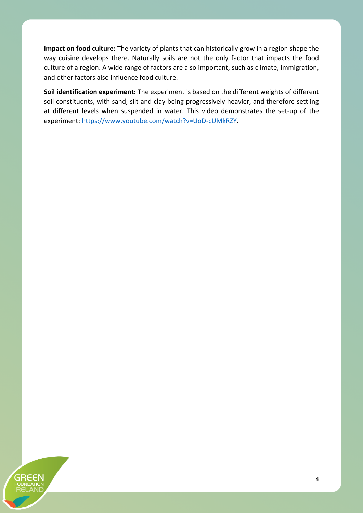**Impact on food culture:** The variety of plants that can historically grow in a region shape the way cuisine develops there. Naturally soils are not the only factor that impacts the food culture of a region. A wide range of factors are also important, such as climate, immigration, and other factors also influence food culture.

**Soil identification experiment:** The experiment is based on the different weights of different soil constituents, with sand, silt and clay being progressively heavier, and therefore settling at different levels when suspended in water. This video demonstrates the set-up of the experiment: [https://www.youtube.com/watch?v=UoD-cUMkRZY.](https://www.youtube.com/watch?v=UoD-cUMkRZY)

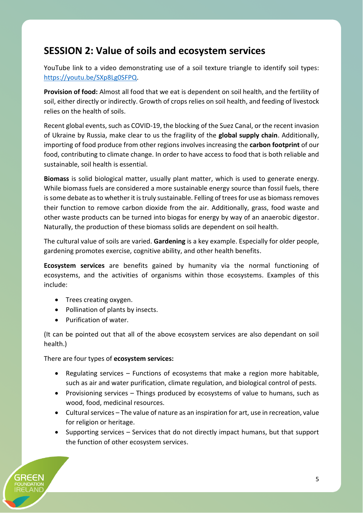#### **SESSION 2: Value of soils and ecosystem services**

YouTube link to a video demonstrating use of a soil texture triangle to identify soil types: [https://youtu.be/SXp8Lg0SFPQ.](https://youtu.be/SXp8Lg0SFPQ)

**Provision of food:** Almost all food that we eat is dependent on soil health, and the fertility of soil, either directly or indirectly. Growth of crops relies on soil health, and feeding of livestock relies on the health of soils.

Recent global events, such as COVID-19, the blocking of the Suez Canal, or the recent invasion of Ukraine by Russia, make clear to us the fragility of the **global supply chain**. Additionally, importing of food produce from other regions involves increasing the **carbon footprint** of our food, contributing to climate change. In order to have access to food that is both reliable and sustainable, soil health is essential.

**Biomass** is solid biological matter, usually plant matter, which is used to generate energy. While biomass fuels are considered a more sustainable energy source than fossil fuels, there is some debate as to whether it is truly sustainable. Felling of trees for use as biomass removes their function to remove carbon dioxide from the air. Additionally, grass, food waste and other waste products can be turned into biogas for energy by way of an anaerobic digestor. Naturally, the production of these biomass solids are dependent on soil health.

The cultural value of soils are varied. **Gardening** is a key example. Especially for older people, gardening promotes exercise, cognitive ability, and other health benefits.

**Ecosystem services** are benefits gained by humanity via the normal functioning of ecosystems, and the activities of organisms within those ecosystems. Examples of this include:

- Trees creating oxygen.
- Pollination of plants by insects.
- Purification of water.

(It can be pointed out that all of the above ecosystem services are also dependant on soil health.)

There are four types of **ecosystem services:**

- Regulating services Functions of ecosystems that make a region more habitable, such as air and water purification, climate regulation, and biological control of pests.
- Provisioning services Things produced by ecosystems of value to humans, such as wood, food, medicinal resources.
- Cultural services The value of nature as an inspiration for art, use in recreation, value for religion or heritage.
- Supporting services Services that do not directly impact humans, but that support the function of other ecosystem services.

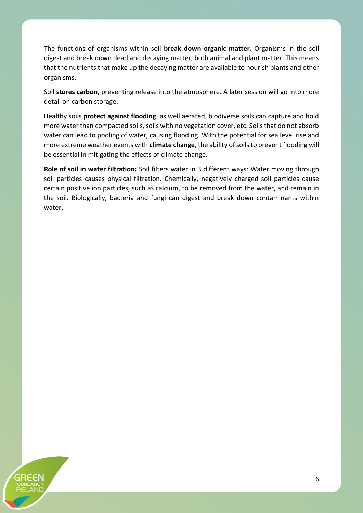The functions of organisms within soil **break down organic matter**. Organisms in the soil digest and break down dead and decaying matter, both animal and plant matter. This means that the nutrients that make up the decaying matter are available to nourish plants and other organisms.

Soil **stores carbon**, preventing release into the atmosphere. A later session will go into more detail on carbon storage.

Healthy soils **protect against flooding**, as well aerated, biodiverse soils can capture and hold more water than compacted soils, soils with no vegetation cover, etc. Soils that do not absorb water can lead to pooling of water, causing flooding. With the potential for sea level rise and more extreme weather events with **climate change**, the ability of soils to prevent flooding will be essential in mitigating the effects of climate change.

**Role of soil in water filtration:** Soil filters water in 3 different ways: Water moving through soil particles causes physical filtration. Chemically, negatively charged soil particles cause certain positive ion particles, such as calcium, to be removed from the water, and remain in the soil. Biologically, bacteria and fungi can digest and break down contaminants within water.

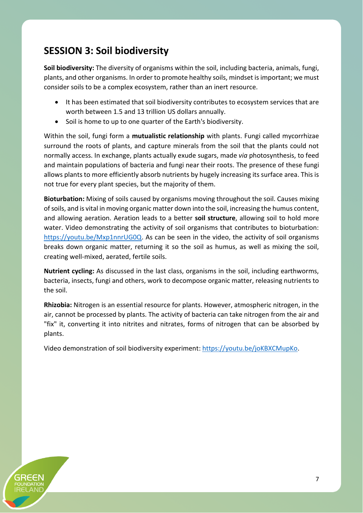# **SESSION 3: Soil biodiversity**

**Soil biodiversity:** The diversity of organisms within the soil, including bacteria, animals, fungi, plants, and other organisms. In order to promote healthy soils, mindset is important; we must consider soils to be a complex ecosystem, rather than an inert resource.

- It has been estimated that soil biodiversity contributes to ecosystem services that are worth between 1.5 and 13 trillion US dollars annually.
- Soil is home to up to one quarter of the Earth's biodiversity.

Within the soil, fungi form a **mutualistic relationship** with plants. Fungi called mycorrhizae surround the roots of plants, and capture minerals from the soil that the plants could not normally access. In exchange, plants actually exude sugars, made *via* photosynthesis, to feed and maintain populations of bacteria and fungi near their roots. The presence of these fungi allows plants to more efficiently absorb nutrients by hugely increasing its surface area. This is not true for every plant species, but the majority of them.

**Bioturbation:** Mixing of soils caused by organisms moving throughout the soil. Causes mixing of soils, and is vital in moving organic matter down into the soil, increasing the humus content, and allowing aeration. Aeration leads to a better **soil structure**, allowing soil to hold more water. Video demonstrating the activity of soil organisms that contributes to bioturbation: [https://youtu.be/Mxp1nnrUG0Q.](https://youtu.be/Mxp1nnrUG0Q) As can be seen in the video, the activity of soil organisms breaks down organic matter, returning it so the soil as humus, as well as mixing the soil, creating well-mixed, aerated, fertile soils.

**Nutrient cycling:** As discussed in the last class, organisms in the soil, including earthworms, bacteria, insects, fungi and others, work to decompose organic matter, releasing nutrients to the soil.

**Rhizobia:** Nitrogen is an essential resource for plants. However, atmospheric nitrogen, in the air, cannot be processed by plants. The activity of bacteria can take nitrogen from the air and "fix" it, converting it into nitrites and nitrates, forms of nitrogen that can be absorbed by plants.

Video demonstration of soil biodiversity experiment: [https://youtu.be/joKBXCMupKo.](https://youtu.be/joKBXCMupKo)

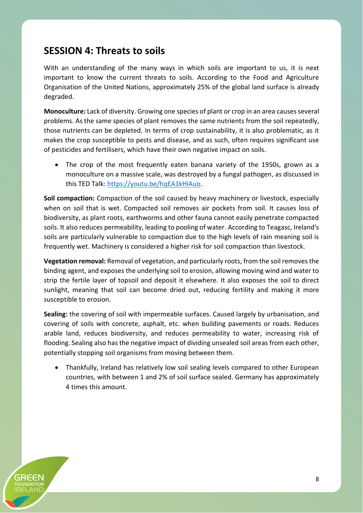#### **SESSION 4: Threats to soils**

With an understanding of the many ways in which soils are important to us, it is next important to know the current threats to soils. According to the Food and Agriculture Organisation of the United Nations, approximately 25% of the global land surface is already degraded.

**Monoculture:** Lack of diversity. Growing one species of plant or crop in an area causes several problems. As the same species of plant removes the same nutrients from the soil repeatedly, those nutrients can be depleted. In terms of crop sustainability, it is also problematic, as it makes the crop susceptible to pests and disease, and as such, often requires significant use of pesticides and fertilisers, which have their own negative impact on soils.

• The crop of the most frequently eaten banana variety of the 1950s, grown as a monoculture on a massive scale, was destroyed by a fungal pathogen, as discussed in this TED Talk: [https://youtu.be/hqEA1kHlAuo.](https://youtu.be/hqEA1kHlAuo)

**Soil compaction:** Compaction of the soil caused by heavy machinery or livestock, especially when on soil that is wet. Compacted soil removes air pockets from soil. It causes loss of biodiversity, as plant roots, earthworms and other fauna cannot easily penetrate compacted soils. It also reduces permeability, leading to pooling of water. According to Teagasc, Ireland's soils are particularly vulnerable to compaction due to the high levels of rain meaning soil is frequently wet. Machinery is considered a higher risk for soil compaction than livestock.

**Vegetation removal:** Removal of vegetation, and particularly roots, from the soil removes the binding agent, and exposes the underlying soil to erosion, allowing moving wind and water to strip the fertile layer of topsoil and deposit it elsewhere. It also exposes the soil to direct sunlight, meaning that soil can become dried out, reducing fertility and making it more susceptible to erosion.

**Sealing:** the covering of soil with impermeable surfaces. Caused largely by urbanisation, and covering of soils with concrete, asphalt, etc. when building pavements or roads. Reduces arable land, reduces biodiversity, and reduces permeability to water, increasing risk of flooding. Sealing also has the negative impact of dividing unsealed soil areas from each other, potentially stopping soil organisms from moving between them.

• Thankfully, Ireland has relatively low soil sealing levels compared to other European countries, with between 1 and 2% of soil surface sealed. Germany has approximately 4 times this amount.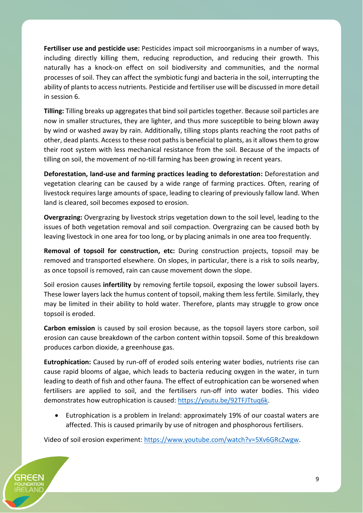**Fertiliser use and pesticide use:** Pesticides impact soil microorganisms in a number of ways, including directly killing them, reducing reproduction, and reducing their growth. This naturally has a knock-on effect on soil biodiversity and communities, and the normal processes of soil. They can affect the symbiotic fungi and bacteria in the soil, interrupting the ability of plants to access nutrients. Pesticide and fertiliser use will be discussed in more detail in session 6.

**Tilling:** Tilling breaks up aggregates that bind soil particles together. Because soil particles are now in smaller structures, they are lighter, and thus more susceptible to being blown away by wind or washed away by rain. Additionally, tilling stops plants reaching the root paths of other, dead plants. Access to these root paths is beneficial to plants, as it allows them to grow their root system with less mechanical resistance from the soil. Because of the impacts of tilling on soil, the movement of no-till farming has been growing in recent years.

**Deforestation, land-use and farming practices leading to deforestation:** Deforestation and vegetation clearing can be caused by a wide range of farming practices. Often, rearing of livestock requires large amounts of space, leading to clearing of previously fallow land. When land is cleared, soil becomes exposed to erosion.

**Overgrazing:** Overgrazing by livestock strips vegetation down to the soil level, leading to the issues of both vegetation removal and soil compaction. Overgrazing can be caused both by leaving livestock in one area for too long, or by placing animals in one area too frequently.

**Removal of topsoil for construction, etc:** During construction projects, topsoil may be removed and transported elsewhere. On slopes, in particular, there is a risk to soils nearby, as once topsoil is removed, rain can cause movement down the slope.

Soil erosion causes **infertility** by removing fertile topsoil, exposing the lower subsoil layers. These lower layers lack the humus content of topsoil, making them less fertile. Similarly, they may be limited in their ability to hold water. Therefore, plants may struggle to grow once topsoil is eroded.

**Carbon emission** is caused by soil erosion because, as the topsoil layers store carbon, soil erosion can cause breakdown of the carbon content within topsoil. Some of this breakdown produces carbon dioxide, a greenhouse gas.

**Eutrophication:** Caused by run-off of eroded soils entering water bodies, nutrients rise can cause rapid blooms of algae, which leads to bacteria reducing oxygen in the water, in turn leading to death of fish and other fauna. The effect of eutrophication can be worsened when fertilisers are applied to soil, and the fertilisers run-off into water bodies. This video demonstrates how eutrophication is caused: [https://youtu.be/92TFJTtuq6k.](https://youtu.be/92TFJTtuq6k)

• Eutrophication is a problem in Ireland: approximately 19% of our coastal waters are affected. This is caused primarily by use of nitrogen and phosphorous fertilisers.

Video of soil erosion experiment: [https://www.youtube.com/watch?v=5Xv6GRcZwgw.](https://www.youtube.com/watch?v=5Xv6GRcZwgw)

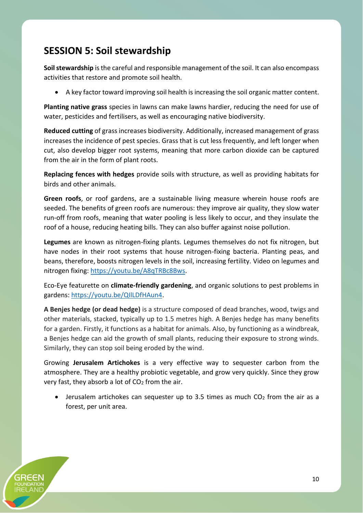# **SESSION 5: Soil stewardship**

**Soil stewardship** is the careful and responsible management of the soil. It can also encompass activities that restore and promote soil health.

• A key factor toward improving soil health is increasing the soil organic matter content.

**Planting native grass** species in lawns can make lawns hardier, reducing the need for use of water, pesticides and fertilisers, as well as encouraging native biodiversity.

**Reduced cutting** of grass increases biodiversity. Additionally, increased management of grass increases the incidence of pest species. Grass that is cut less frequently, and left longer when cut, also develop bigger root systems, meaning that more carbon dioxide can be captured from the air in the form of plant roots.

**Replacing fences with hedges** provide soils with structure, as well as providing habitats for birds and other animals.

**Green roofs**, or roof gardens, are a sustainable living measure wherein house roofs are seeded. The benefits of green roofs are numerous: they improve air quality, they slow water run-off from roofs, meaning that water pooling is less likely to occur, and they insulate the roof of a house, reducing heating bills. They can also buffer against noise pollution.

**Legumes** are known as nitrogen-fixing plants. Legumes themselves do not fix nitrogen, but have nodes in their root systems that house nitrogen-fixing bacteria. Planting peas, and beans, therefore, boosts nitrogen levels in the soil, increasing fertility. Video on legumes and nitrogen fixing: [https://youtu.be/A8qTRBc8Bws.](https://youtu.be/A8qTRBc8Bws)

Eco-Eye featurette on **climate-friendly gardening**, and organic solutions to pest problems in gardens: [https://youtu.be/QIlLDfHAun4.](https://youtu.be/QIlLDfHAun4)

**A Benjes hedge (or dead hedge)** is a structure composed of dead branches, wood, twigs and other materials, stacked, typically up to 1.5 metres high. A Benjes hedge has many benefits for a garden. Firstly, it functions as a habitat for animals. Also, by functioning as a windbreak, a Benjes hedge can aid the growth of small plants, reducing their exposure to strong winds. Similarly, they can stop soil being eroded by the wind.

Growing **Jerusalem Artichokes** is a very effective way to sequester carbon from the atmosphere. They are a healthy probiotic vegetable, and grow very quickly. Since they grow very fast, they absorb a lot of  $CO<sub>2</sub>$  from the air.

• Jerusalem artichokes can sequester up to 3.5 times as much  $CO<sub>2</sub>$  from the air as a forest, per unit area.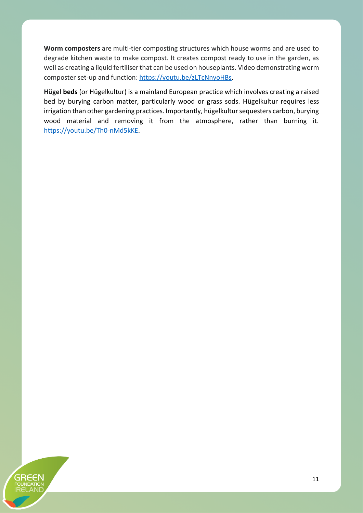**Worm composters** are multi-tier composting structures which house worms and are used to degrade kitchen waste to make compost. It creates compost ready to use in the garden, as well as creating a liquid fertiliser that can be used on houseplants. Video demonstrating worm composter set-up and function: [https://youtu.be/zLTcNnyoHBs.](https://youtu.be/zLTcNnyoHBs)

**Hügel beds** (or Hügelkultur) is a mainland European practice which involves creating a raised bed by burying carbon matter, particularly wood or grass sods. Hügelkultur requires less irrigation than other gardening practices. Importantly, hügelkultur sequesters carbon, burying wood material and removing it from the atmosphere, rather than burning it. [https://youtu.be/Th0-nMd5kKE.](https://youtu.be/Th0-nMd5kKE)

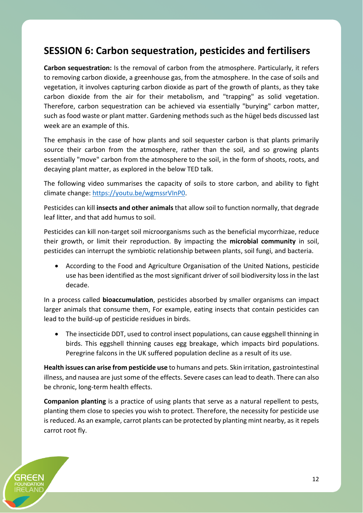#### **SESSION 6: Carbon sequestration, pesticides and fertilisers**

**Carbon sequestration:** Is the removal of carbon from the atmosphere. Particularly, it refers to removing carbon dioxide, a greenhouse gas, from the atmosphere. In the case of soils and vegetation, it involves capturing carbon dioxide as part of the growth of plants, as they take carbon dioxide from the air for their metabolism, and "trapping" as solid vegetation. Therefore, carbon sequestration can be achieved via essentially "burying" carbon matter, such as food waste or plant matter. Gardening methods such as the hügel beds discussed last week are an example of this.

The emphasis in the case of how plants and soil sequester carbon is that plants primarily source their carbon from the atmosphere, rather than the soil, and so growing plants essentially "move" carbon from the atmosphere to the soil, in the form of shoots, roots, and decaying plant matter, as explored in the below TED talk.

The following video summarises the capacity of soils to store carbon, and ability to fight climate change: [https://youtu.be/wgmssrVInP0.](https://youtu.be/wgmssrVInP0)

Pesticides can kill **insects and other animals**that allow soil to function normally, that degrade leaf litter, and that add humus to soil.

Pesticides can kill non-target soil microorganisms such as the beneficial mycorrhizae, reduce their growth, or limit their reproduction. By impacting the **microbial community** in soil, pesticides can interrupt the symbiotic relationship between plants, soil fungi, and bacteria.

• According to the Food and Agriculture Organisation of the United Nations, pesticide use has been identified as the most significant driver of soil biodiversity loss in the last decade.

In a process called **bioaccumulation**, pesticides absorbed by smaller organisms can impact larger animals that consume them, For example, eating insects that contain pesticides can lead to the build-up of pesticide residues in birds.

• The insecticide DDT, used to control insect populations, can cause eggshell thinning in birds. This eggshell thinning causes egg breakage, which impacts bird populations. Peregrine falcons in the UK suffered population decline as a result of its use.

**Health issues can arise from pesticide use** to humans and pets. Skin irritation, gastrointestinal illness, and nausea are just some of the effects. Severe cases can lead to death. There can also be chronic, long-term health effects.

**Companion planting** is a practice of using plants that serve as a natural repellent to pests, planting them close to species you wish to protect. Therefore, the necessity for pesticide use is reduced. As an example, carrot plants can be protected by planting mint nearby, as it repels carrot root fly.

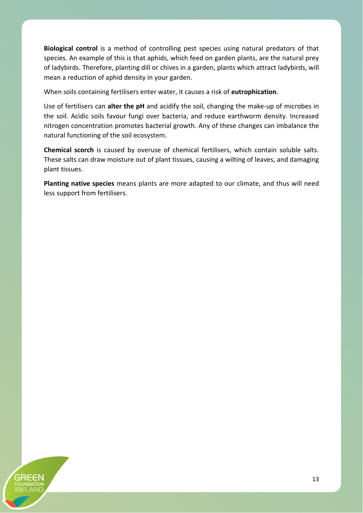**Biological control** is a method of controlling pest species using natural predators of that species. An example of this is that aphids, which feed on garden plants, are the natural prey of ladybirds. Therefore, planting dill or chives in a garden, plants which attract ladybirds, will mean a reduction of aphid density in your garden.

When soils containing fertilisers enter water, it causes a risk of **eutrophication**.

Use of fertilisers can **alter the pH** and acidify the soil, changing the make-up of microbes in the soil. Acidic soils favour fungi over bacteria, and reduce earthworm density. Increased nitrogen concentration promotes bacterial growth. Any of these changes can imbalance the natural functioning of the soil ecosystem.

**Chemical scorch** is caused by overuse of chemical fertilisers, which contain soluble salts. These salts can draw moisture out of plant tissues, causing a wilting of leaves, and damaging plant tissues.

**Planting native species** means plants are more adapted to our climate, and thus will need less support from fertilisers.